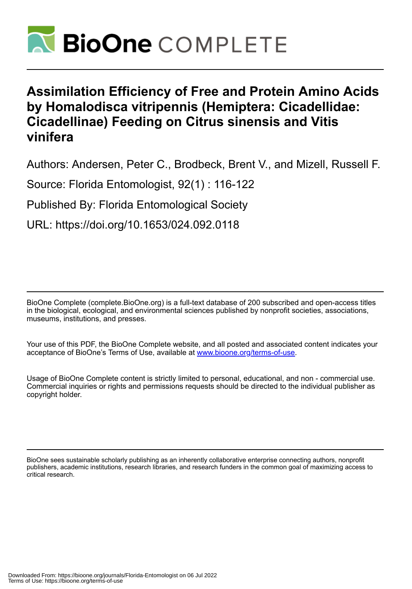

# **Assimilation Efficiency of Free and Protein Amino Acids by Homalodisca vitripennis (Hemiptera: Cicadellidae: Cicadellinae) Feeding on Citrus sinensis and Vitis vinifera**

Authors: Andersen, Peter C., Brodbeck, Brent V., and Mizell, Russell F.

Source: Florida Entomologist, 92(1) : 116-122

Published By: Florida Entomological Society

URL: https://doi.org/10.1653/024.092.0118

BioOne Complete (complete.BioOne.org) is a full-text database of 200 subscribed and open-access titles in the biological, ecological, and environmental sciences published by nonprofit societies, associations, museums, institutions, and presses.

Your use of this PDF, the BioOne Complete website, and all posted and associated content indicates your acceptance of BioOne's Terms of Use, available at www.bioone.org/terms-of-use.

Usage of BioOne Complete content is strictly limited to personal, educational, and non - commercial use. Commercial inquiries or rights and permissions requests should be directed to the individual publisher as copyright holder.

BioOne sees sustainable scholarly publishing as an inherently collaborative enterprise connecting authors, nonprofit publishers, academic institutions, research libraries, and research funders in the common goal of maximizing access to critical research.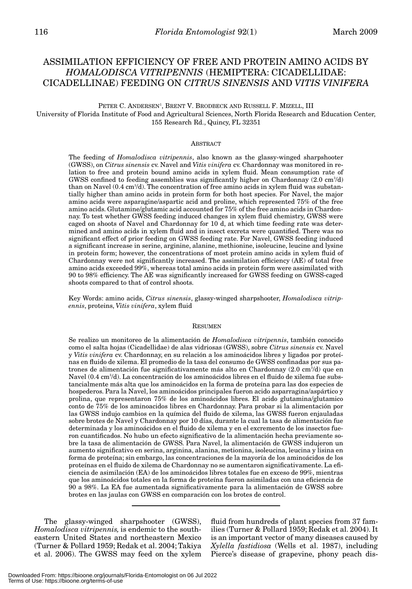# ASSIMILATION EFFICIENCY OF FREE AND PROTEIN AMINO ACIDS BY *HOMALODISCA VITRIPENNIS* (HEMIPTERA: CICADELLIDAE: CICADELLINAE) FEEDING ON *CITRUS SINENSIS* AND *VITIS VINIFERA*

# PETER C. ANDERSEN<sup>1</sup>, BRENT V. BRODBECK AND RUSSELL F. MIZELL, III University of Florida Institute of Food and Agricultural Sciences, North Florida Research and Education Center, 155 Research Rd., Quincy, FL 32351

#### ABSTRACT

The feeding of *Homalodisca vitripennis*, also known as the glassy-winged sharpshooter (GWSS), on *Citrus sinensis* cv. Navel and *Vitis vinifera* cv. Chardonnay was monitored in relation to free and protein bound amino acids in xylem fluid. Mean consumption rate of GWSS confined to feeding assemblies was significantly higher on Chardonnay  $(2.0 \text{ cm}^3/\text{d})$ than on Navel  $(0.4 \text{ cm}^3/\text{d})$ . The concentration of free amino acids in xylem fluid was substantially higher than amino acids in protein form for both host species. For Navel, the major amino acids were asparagine/aspartic acid and proline, which represented 75% of the free amino acids. Glutamine/glutamic acid accounted for 75% of the free amino acids in Chardonnay. To test whether GWSS feeding induced changes in xylem fluid chemistry, GWSS were caged on shoots of Navel and Chardonnay for 10 d, at which time feeding rate was determined and amino acids in xylem fluid and in insect excreta were quantified. There was no significant effect of prior feeding on GWSS feeding rate. For Navel, GWSS feeding induced a significant increase in serine, arginine, alanine, methionine, isoleucine, leucine and lysine in protein form; however, the concentrations of most protein amino acids in xylem fluid of Chardonnay were not significantly increased. The assimilation efficiency (AE) of total free amino acids exceeded 99%, whereas total amino acids in protein form were assimilated with 90 to 98% efficiency. The AE was significantly increased for GWSS feeding on GWSS-caged shoots compared to that of control shoots.

Key Words: amino acids, *Citrus sinensis*, glassy-winged sharpshooter, *Homalodisca vitripennis*, proteins, *Vitis vinifera*, xylem fluid

#### RESUMEN

Se realizo un monitoreo de la alimentación de *Homalodisca vitripennis*, también conocido como el salta hojas (Cicadellidae) de alas vidriosas (GWSS), sobre *Citrus sinensis* cv. Navel y *Vitis vinifera* cv. Chardonnay, en su relación a los aminoácidos libres y ligados por proteínas en fluido de xilema. El promedio de la tasa del consumo de GWSS confinadas por sus patrones de alimentación fue significativamente más alto en Chardonnay (2.0 cm<sup>3</sup>/d) que en  $\rm Navel$  (0.4 cm $^3\!/\rm d$ ). La concentración de los aminoácidos libres en el fluido de xilema fue substancialmente más alta que los aminoácidos en la forma de proteína para las dos especies de hospederos. Para la Navel, los aminoácidos principales fueron acido asparragina/aspártico y prolina, que representaron 75% de los aminoácidos libres. El acido glutamina/glutamico conto de 75% de los aminoacidos libres en Chardonnay. Para probar si la alimentación por las GWSS indujo cambios en la química del fluido de xilema, las GWSS fueron enjauladas sobre brotes de Navel y Chardonnay por 10 días, durante la cual la tasa de alimentación fue determinada y los aminoácidos en el fluido de xilema y en el excremento de los insectos fueron cuantificados. No hubo un efecto significativo de la alimentación hecha previamente sobre la tasa de alimentación de GWSS. Para Navel, la alimentación de GWSS indujeron un aumento significativo en serina, arginina, alanina, metionina, isoleucina, leucina y lisina en forma de proteína; sin embargo, las concentraciones de la mayoría de los aminoácidos de los proteínas en el fluido de xilema de Chardonnay no se aumentaron significativamente. La eficiencia de asimilación (EA) de los aminoácidos libres totales fue en exceso de 99%, mientras que los aminoácidos totales en la forma de proteína fueron asimiladas con una eficiencia de 90 a 98%. La EA fue aumentada significativamente para la alimentación de GWSS sobre brotes en las jaulas con GWSS en comparación con los brotes de control.

The glassy-winged sharpshooter (GWSS), *Homalodisca vitripennis,* is endemic to the southeastern United States and northeastern Mexico (Turner & Pollard 1959; Redak et al. 2004; Takiya et al. 2006). The GWSS may feed on the xylem

fluid from hundreds of plant species from 37 families (Turner & Pollard 1959; Redak et al. 2004). It is an important vector of many diseases caused by *Xylella fastidiosa* (Wells et al. 1987), including Pierce's disease of grapevine, phony peach dis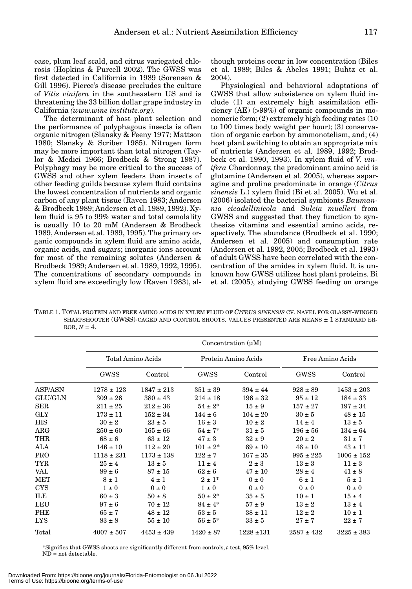ease, plum leaf scald, and citrus variegated chlorosis (Hopkins & Purcell 2002). The GWSS was first detected in California in 1989 (Sorensen & Gill 1996). Pierce's disease precludes the culture of *Vitis vinifera* in the southeastern US and is threatening the 33 billion dollar grape industry in California *(www.wine institute.org*).

The determinant of host plant selection and the performance of polyphagous insects is often organic nitrogen (Slansky & Feeny 1977; Mattson 1980; Slansky & Scriber 1985). Nitrogen form may be more important than total nitrogen (Taylor & Medici 1966; Brodbeck & Strong 1987). Polyphagy may be more critical to the success of GWSS and other xylem feeders than insects of other feeding guilds because xylem fluid contains the lowest concentration of nutrients and organic carbon of any plant tissue (Raven 1983; Andersen & Brodbeck 1989; Andersen et al. 1989, 1992). Xylem fluid is 95 to 99% water and total osmolality is usually 10 to 20 mM (Andersen & Brodbeck 1989, Andersen et al. 1989, 1995). The primary organic compounds in xylem fluid are amino acids, organic acids, and sugars; inorganic ions account for most of the remaining solutes (Andersen & Brodbeck 1989; Andersen et al. 1989, 1992, 1995). The concentrations of secondary compounds in xylem fluid are exceedingly low (Raven 1983), although proteins occur in low concentration (Biles et al. 1989; Biles & Abeles 1991; Buhtz et al. 2004).

Physiological and behavioral adaptations of GWSS that allow subsistence on xylem fluid include (1) an extremely high assimilation efficiency (AE) (>99%) of organic compounds in monomeric form; (2) extremely high feeding rates (10 to 100 times body weight per hour); (3) conservation of organic carbon by ammonotelism, and; (4) host plant switching to obtain an appropriate mix of nutrients (Andersen et al. 1989, 1992; Brodbeck et al. 1990, 1993). In xylem fluid of *V. vinifera* Chardonnay, the predominant amino acid is glutamine (Andersen et al. 2005), whereas asparagine and proline predominate in orange (*Citrus sinensis* L.) xylem fluid (Bi et al. 2005). Wu et al. (2006) isolated the bacterial symbionts *Baumannia cicadellinicola* and *Sulcia muelleri* from GWSS and suggested that they function to synthesize vitamins and essential amino acids, respectively. The abundance (Brodbeck et al. 1990; Andersen et al. 2005) and consumption rate (Andersen et al. 1992, 2005; Brodbeck et al. 1993) of adult GWSS have been correlated with the concentration of the amides in xylem fluid. It is unknown how GWSS utilizes host plant proteins. Bi et al. (2005), studying GWSS feeding on orange

TABLE 1. TOTAL PROTEIN AND FREE AMINO ACIDS IN XYLEM FLUID OF *CITRUS SINENSIS* CV. NAVEL FOR GLASSY-WINGED SHARPSHOOTER (GWSS)-CAGED AND CONTROL SHOOTS. VALUES PRESENTED ARE MEANS ± 1 STANDARD ER-ROR,  $N = 4$ .

|                | Concentration $(\mu M)$ |                |                     |                |                  |                |
|----------------|-------------------------|----------------|---------------------|----------------|------------------|----------------|
|                | Total Amino Acids       |                | Protein Amino Acids |                | Free Amino Acids |                |
|                | GWSS                    | Control        | GWSS                | Control        | <b>GWSS</b>      | Control        |
| <b>ASP/ASN</b> | $1278 \pm 123$          | $1847 \pm 213$ | $351 \pm 39$        | $394 \pm 44$   | $928 \pm 89$     | $1453 \pm 203$ |
| <b>GLU/GLN</b> | $309 \pm 26$            | $380 \pm 43$   | $214 \pm 18$        | $196 \pm 32$   | $95 \pm 12$      | $184 \pm 33$   |
| SER            | $211 \pm 25$            | $212 \pm 36$   | $54 \pm 2^*$        | $15 \pm 9$     | $157 \pm 27$     | $197 \pm 34$   |
| <b>GLY</b>     | $173 \pm 11$            | $152 \pm 34$   | $144 \pm 6$         | $104 \pm 20$   | $30 \pm 5$       | $48 \pm 15$    |
| <b>HIS</b>     | $30 \pm 2$              | $23 \pm 5$     | $16 \pm 3$          | $10 \pm 2$     | $14 \pm 4$       | $13 \pm 5$     |
| $\rm{ARG}$     | $250 \pm 60$            | $165 \pm 66$   | $54 \pm 7^*$        | $31 \pm 5$     | $196 \pm 56$     | $134 \pm 64$   |
| <b>THR</b>     | $68 \pm 6$              | $63 \pm 12$    | $47 \pm 3$          | $32 \pm 9$     | $20 \pm 2$       | $31 \pm 7$     |
| ALA            | $146 \pm 10$            | $112 \pm 20$   | $101 \pm 2^*$       | $69 \pm 10$    | $46 \pm 10$      | $43 \pm 11$    |
| <b>PRO</b>     | $1118 \pm 231$          | $1173 \pm 138$ | $122 \pm 7$         | $167 \pm 35$   | $995 \pm 225$    | $1006 \pm 152$ |
| TYR            | $25 \pm 4$              | $13 \pm 5$     | $11 \pm 4$          | $2 \pm 3$      | $13 \pm 3$       | $11 \pm 3$     |
| VAL            | $89 \pm 6$              | $87 \pm 15$    | $62 \pm 6$          | $47 \pm 10$    | $28 \pm 4$       | $41 \pm 8$     |
| <b>MET</b>     | $8 \pm 1$               | $4 \pm 1$      | $2 \pm 1$ *         | $0 \pm 0$      | $6 \pm 1$        | $5 \pm 1$      |
| CYS            | $1 \pm 0$               | $0 \pm 0$      | $1 \pm 0$           | $0 \pm 0$      | $0 \pm 0$        | $0 \pm 0$      |
| ILE            | $60 \pm 3$              | $50 \pm 8$     | $50 \pm 2^*$        | $35 \pm 5$     | $10 \pm 1$       | $15 \pm 4$     |
| LEU            | $97 \pm 6$              | $70 \pm 12$    | $84 \pm 4^*$        | $57 \pm 9$     | $13 \pm 2$       | $13 \pm 4$     |
| PHE            | $65 \pm 7$              | $48 \pm 12$    | $53 \pm 5$          | $38 \pm 11$    | $12 \pm 2$       | $10 \pm 1$     |
| LYS            | $83 \pm 8$              | $55 \pm 10$    | $56 \pm 5^*$        | $33 \pm 5$     | $27 \pm 7$       | $22 \pm 7$     |
| Total          | $4007 \pm 507$          | $4453 \pm 439$ | $1420 \pm 87$       | $1228 \pm 131$ | $2587 \pm 432$   | $3225 \pm 383$ |

\*Signifies that GWSS shoots are significantly different from controls, *t*-test, 95% level. ND = not detectable.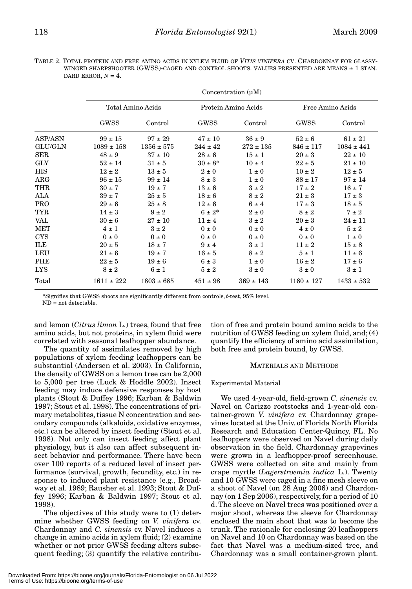TABLE 2. TOTAL PROTEIN AND FREE AMINO ACIDS IN XYLEM FLUID OF *VITIS VINIFERA* CV. CHARDONNAY FOR GLASSY-WINGED SHARPSHOOTER (GWSS)-CAGED AND CONTROL SHOOTS. VALUES PRESENTED ARE MEANS ± 1 STAN-DARD ERROR,  $N = 4$ .

|                | Concentration $(uM)$ |                |                     |               |                  |                |
|----------------|----------------------|----------------|---------------------|---------------|------------------|----------------|
|                | Total Amino Acids    |                | Protein Amino Acids |               | Free Amino Acids |                |
|                | GWSS                 | Control        | GWSS                | Control       | GWSS             | Control        |
| ASP/ASN        | $99 \pm 15$          | $97 \pm 29$    | $47 \pm 10$         | $36 \pm 9$    | $52 \pm 6$       | $61 \pm 21$    |
| <b>GLU/GLN</b> | $1089 \pm 158$       | $1356 \pm 575$ | $244 \pm 42$        | $272 \pm 135$ | $846 \pm 117$    | $1084 \pm 441$ |
| <b>SER</b>     | $48 \pm 9$           | $37 \pm 10$    | $28 \pm 6$          | $15 \pm 1$    | $20 \pm 3$       | $22 \pm 10$    |
| <b>GLY</b>     | $52 \pm 14$          | $31 \pm 5$     | $30 \pm 8^*$        | $10 \pm 4$    | $22 \pm 5$       | $21 \pm 10$    |
| <b>HIS</b>     | $12 \pm 2$           | $13 \pm 5$     | $2 \pm 0$           | $1 \pm 0$     | $10 \pm 2$       | $12 \pm 5$     |
| ARG            | $96 \pm 15$          | $99 \pm 14$    | $8 \pm 3$           | $1 \pm 0$     | $88 \pm 17$      | $97 \pm 14$    |
| THR            | $30 \pm 7$           | $19 \pm 7$     | $13 \pm 6$          | $3 \pm 2$     | $17 \pm 2$       | $16 \pm 7$     |
| ALA            | $39 \pm 7$           | $25 \pm 5$     | $18 \pm 6$          | $8 \pm 2$     | $21 \pm 3$       | $17 \pm 3$     |
| <b>PRO</b>     | $29 \pm 6$           | $25 \pm 8$     | $12 \pm 6$          | $6 \pm 4$     | $17 \pm 3$       | $18 \pm 5$     |
| <b>TYR</b>     | $14 \pm 3$           | $9 \pm 2$      | $6 \pm 2^*$         | $2 \pm 0$     | $8 \pm 2$        | $7 \pm 2$      |
| <b>VAL</b>     | $30 \pm 6$           | $27 \pm 10$    | $11 \pm 4$          | $3 \pm 2$     | $20 \pm 3$       | $24 \pm 11$    |
| <b>MET</b>     | $4 \pm 1$            | $3 \pm 2$      | $0\pm 0$            | $0 \pm 0$     | $4\pm0$          | $5 \pm 2$      |
| CYS            | $0 \pm 0$            | $0 \pm 0$      | $0 \pm 0$           | $0 \pm 0$     | $0 \pm 0$        | $1 \pm 0$      |
| ILE            | $20 \pm 5$           | $18 \pm 7$     | $9 \pm 4$           | $3 \pm 1$     | $11 \pm 2$       | $15 \pm 8$     |
| LEU            | $21 \pm 6$           | $19 \pm 7$     | $16 \pm 5$          | $8 \pm 2$     | $5 \pm 1$        | $11 \pm 6$     |
| PHE            | $22 \pm 5$           | $19 \pm 6$     | $6 \pm 3$           | $1 \pm 0$     | $16 \pm 2$       | $17 \pm 6$     |
| <b>LYS</b>     | $8 \pm 2$            | $6 \pm 1$      | $5 \pm 2$           | $3 \pm 0$     | $3 \pm 0$        | $3 \pm 1$      |
| Total          | $1611 \pm 222$       | $1803 \pm 685$ | $451 \pm 98$        | $369 \pm 143$ | $1160 \pm 127$   | $1433 \pm 532$ |

\*Signifies that GWSS shoots are significantly different from controls, *t*-test, 95% level.

 $ND = not detectable$ 

and lemon (*Citrus limon* L.) trees, found that free amino acids, but not proteins, in xylem fluid were correlated with seasonal leafhopper abundance.

The quantity of assimilates removed by high populations of xylem feeding leafhoppers can be substantial (Andersen et al. 2003). In California, the density of GWSS on a lemon tree can be 2,000 to 5,000 per tree (Luck & Hoddle 2002). Insect feeding may induce defensive responses by host plants (Stout & Duffey 1996; Karban & Baldwin 1997; Stout et al. 1998). The concentrations of primary metabolites, tissue N concentration and secondary compounds (alkaloids, oxidative enzymes, etc.) can be altered by insect feeding (Stout et al. 1998). Not only can insect feeding affect plant physiology, but it also can affect subsequent insect behavior and performance. There have been over 100 reports of a reduced level of insect performance (survival, growth, fecundity, etc.) in response to induced plant resistance (e.g., Broadway et al. 1989; Rausher et al. 1993; Stout & Duffey 1996; Karban & Baldwin 1997; Stout et al. 1998).

The objectives of this study were to (1) determine whether GWSS feeding on *V. vinifera* cv. Chardonnay and *C. sinensis* cv. Navel induces a change in amino acids in xylem fluid; (2) examine whether or not prior GWSS feeding alters subsequent feeding; (3) quantify the relative contribution of free and protein bound amino acids to the nutrition of GWSS feeding on xylem fluid, and; (4) quantify the efficiency of amino acid assimilation, both free and protein bound, by GWSS.

# MATERIALS AND METHODS

# Experimental Material

We used 4-year-old, field-grown *C. sinensis* cv. Navel on Carizzo rootstocks and 1-year-old container-grown *V. vinifera* cv. Chardonnay grapevines located at the Univ. of Florida North Florida Research and Education Center-Quincy, FL. No leafhoppers were observed on Navel during daily observation in the field. Chardonnay grapevines were grown in a leafhopper-proof screenhouse. GWSS were collected on site and mainly from crape myrtle (*Lagerstroemia indica* L.). Twenty and 10 GWSS were caged in a fine mesh sleeve on a shoot of Navel (on 28 Aug 2006) and Chardonnay (on 1 Sep 2006), respectively, for a period of 10 d. The sleeve on Navel trees was positioned over a major shoot, whereas the sleeve for Chardonnay enclosed the main shoot that was to become the trunk. The rationale for enclosing 20 leafhoppers on Navel and 10 on Chardonnay was based on the fact that Navel was a medium-sized tree, and Chardonnay was a small container-grown plant.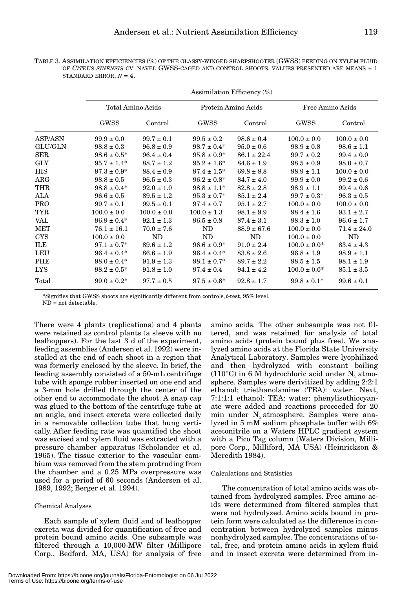TABLE 3. ASSIMILATION EFFICIENCIES (%) OF THE GLASSY-WINGED SHARPSHOOTER (GWSS) FEEDING ON XYLEM FLUID OF *CITRUS SINENSIS* CV. NAVEL GWSS-CAGED AND CONTROL SHOOTS. VALUES PRESENTED ARE MEANS ± 1 STANDARD ERROR,  $N = 4$ .

|                | Assimilation Efficiency $(\%)$ |                 |                     |                 |                   |                 |
|----------------|--------------------------------|-----------------|---------------------|-----------------|-------------------|-----------------|
|                | Total Amino Acids              |                 | Protein Amino Acids |                 | Free Amino Acids  |                 |
|                | GWSS                           | Control         | GWSS                | Control         | GWSS              | Control         |
| ASP/ASN        | $99.9 \pm 0.0$                 | $99.7 \pm 0.1$  | $99.5 \pm 0.2$      | $98.6 \pm 0.4$  | $100.0 \pm 0.0$   | $100.0 \pm 0.0$ |
| <b>GLU/GLN</b> | $98.8 \pm 0.3$                 | $96.8 \pm 0.9$  | $98.7 \pm 0.4*$     | $95.0 \pm 0.6$  | $98.9 \pm 0.8$    | $98.6 \pm 1.1$  |
| <b>SER</b>     | $98.6 \pm 0.5^*$               | $96.4 \pm 0.4$  | $95.8 \pm 0.9^*$    | $86.1 \pm 22.4$ | $99.7 \pm 0.2$    | $99.4 \pm 0.0$  |
| <b>GLY</b>     | $95.7 \pm 1.4^*$               | $88.7 \pm 1.2$  | $95.2 \pm 1.6^*$    | $84.6 \pm 1.9$  | $98.5 \pm 0.9$    | $98.0 \pm 0.7$  |
| HIS            | $97.3 \pm 0.9^*$               | $88.4 \pm 0.9$  | $97.4 \pm 1.5^*$    | $69.8 \pm 8.8$  | $98.9 \pm 1.1$    | $100.0 \pm 0.0$ |
| ARG            | $98.8 \pm 0.5$                 | $96.5 \pm 0.3$  | $96.2 \pm 0.8^*$    | $84.7 \pm 4.0$  | $99.9 \pm 0.0$    | $99.2 \pm 0.6$  |
| THR            | $98.8 \pm 0.4^*$               | $92.0 \pm 1.0$  | $98.8 \pm 1.1^*$    | $82.8 \pm 2.8$  | $98.9 \pm 1.1$    | $99.4 \pm 0.6$  |
| ALA            | $96.6 \pm 0.5$                 | $89.5 \pm 1.2$  | $95.3 \pm 0.7^*$    | $85.1 \pm 2.4$  | $99.7 \pm 0.3^*$  | $96.3 \pm 0.5$  |
| <b>PRO</b>     | $99.7 \pm 0.1$                 | $99.5 \pm 0.1$  | $97.4 \pm 0.7$      | $95.1 \pm 2.7$  | $100.0 \pm 0.0$   | $100.0 \pm 0.0$ |
| <b>TYR</b>     | $100.0 \pm 0.0$                | $100.0 \pm 0.0$ | $100.0 \pm 1.3$     | $98.1 \pm 9.9$  | $98.4 \pm 1.6$    | $93.1 \pm 2.7$  |
| <b>VAL</b>     | $96.9 \pm 0.4^*$               | $92.1 \pm 1.3$  | $96.5 \pm 0.8$      | $87.4 \pm 3.1$  | $98.3 \pm 1.0$    | $96.6 \pm 1.7$  |
| <b>MET</b>     | $76.1 \pm 16.1$                | $70.0 \pm 7.6$  | ND                  | $88.9 \pm 67.6$ | $100.0 \pm 0.0$   | $71.4 \pm 24.0$ |
| <b>CYS</b>     | $100.0 \pm 0.0$                | ND              | ND                  | ND              | $100.0 \pm 0.0$   | ND              |
| ILE            | $97.1 \pm 0.7^*$               | $89.6 \pm 1.2$  | $96.6 \pm 0.9^*$    | $91.0 \pm 2.4$  | $100.0 \pm 0.0^*$ | $83.4 \pm 4.3$  |
| LEU            | $96.4 \pm 0.4^*$               | $86.6 \pm 1.9$  | $96.4 \pm 0.4^*$    | $83.8 \pm 2.6$  | $96.8 \pm 1.9$    | $98.9 \pm 1.1$  |
| PHE            | $98.0 \pm 0.4^*$               | $91.9 \pm 1.3$  | $98.1 \pm 0.7^*$    | $89.7 \pm 2.2$  | $98.5 \pm 1.5$    | $98.1 \pm 1.9$  |
| <b>LYS</b>     | $98.2 \pm 0.5^*$               | $91.8 \pm 1.0$  | $97.4 \pm 0.4$      | $94.1 \pm 4.2$  | $100.0 \pm 0.0^*$ | $85.1 \pm 3.5$  |
| Total          | $99.0 \pm 0.2^*$               | $97.7 \pm 0.5$  | $97.5 \pm 0.6^*$    | $92.8 \pm 1.7$  | $99.8 \pm 0.1^*$  | $99.6 \pm 0.1$  |

\*Signifies that GWSS shoots are significantly different from controls, *t*-test, 95% level. ND = not detectable.

There were 4 plants (replications) and 4 plants were retained as control plants (a sleeve with no leafhoppers). For the last 3 d of the experiment, feeding assemblies (Andersen et al. 1992) were installed at the end of each shoot in a region that was formerly enclosed by the sleeve. In brief, the feeding assembly consisted of a 50-mL centrifuge tube with sponge rubber inserted on one end and a 3-mm hole drilled through the center of the other end to accommodate the shoot. A snap cap was glued to the bottom of the centrifuge tube at an angle, and insect excreta were collected daily in a removable collection tube that hung vertically. After feeding rate was quantified the shoot was excised and xylem fluid was extracted with a pressure chamber apparatus (Scholander et al. 1965). The tissue exterior to the vascular cambium was removed from the stem protruding from the chamber and a 0.25 MPa overpressure was used for a period of 60 seconds (Andersen et al. 1989, 1992; Berger et al. 1994).

# Chemical Analyses

Each sample of xylem fluid and of leafhopper excreta was divided for quantification of free and protein bound amino acids. One subsample was filtered through a 10,000-MW filter (Millipore Corp., Bedford, MA, USA) for analysis of free

amino acids. The other subsample was not filtered, and was retained for analysis of total amino acids (protein bound plus free). We analyzed amino acids at the Florida State University Analytical Laboratory. Samples were lyophilized and then hydrolyzed with constant boiling  $(110^{\circ}C)$  in 6 M hydrochloric acid under N<sub>2</sub> atmosphere. Samples were derivitized by adding 2:2:1 ethanol: triethanolamine (TEA): water. Next, 7:1:1:1 ethanol: TEA: water: phenylisothiocyanate were added and reactions proceeded for 20 min under  $N_2$  atmosphere. Samples were analyzed in 5 mM sodium phosphate buffer with 6% acetonitrile on a Waters HPLC gradient system with a Pico Tag column (Waters Division, Millipore Corp., Milliford, MA USA) (Heinrickson & Meredith 1984).

#### Calculations and Statistics

The concentration of total amino acids was obtained from hydrolyzed samples. Free amino acids were determined from filtered samples that were not hydrolyzed. Amino acids bound in protein form were calculated as the difference in concentration between hydrolyzed samples minus nonhydrolyzed samples. The concentrations of total, free, and protein amino acids in xylem fluid and in insect excreta were determined from in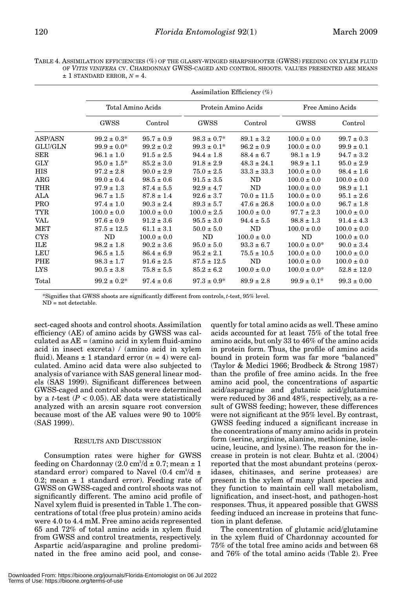TABLE 4. ASSIMILATION EFFICIENCIES (%) OF THE GLASSY-WINGED SHARPSHOOTER (GWSS) FEEDING ON XYLEM FLUID OF *VITIS VINIFERA* CV. CHARDONNAY GWSS-CAGED AND CONTROL SHOOTS. VALUES PRESENTED ARE MEANS  $± 1$  STANDARD ERROR,  $N = 4$ .

|                | Assimilation Efficiency $(\%)$ |                 |                     |                 |                   |                 |
|----------------|--------------------------------|-----------------|---------------------|-----------------|-------------------|-----------------|
|                | Total Amino Acids              |                 | Protein Amino Acids |                 | Free Amino Acids  |                 |
|                | GWSS                           | Control         | GWSS                | Control         | <b>GWSS</b>       | Control         |
| ASP/ASN        | $99.2 \pm 0.3^*$               | $95.7 \pm 0.9$  | $98.3 \pm 0.7^*$    | $89.1 \pm 3.2$  | $100.0 \pm 0.0$   | $99.7 \pm 0.3$  |
| <b>GLU/GLN</b> | $99.9 \pm 0.0^*$               | $99.2 \pm 0.2$  | $99.3 \pm 0.1^*$    | $96.2 \pm 0.9$  | $100.0 \pm 0.0$   | $99.9 \pm 0.1$  |
| SER            | $96.1 \pm 1.0$                 | $91.5 \pm 2.5$  | $94.4 \pm 1.8$      | $88.4 \pm 6.7$  | $98.1 \pm 1.9$    | $94.7 \pm 3.2$  |
| <b>GLY</b>     | $95.0 \pm 1.5^*$               | $85.2 \pm 3.0$  | $91.8 \pm 2.9$      | $48.3 \pm 24.1$ | $98.9 \pm 1.1$    | $95.0 \pm 2.9$  |
| <b>HIS</b>     | $97.2 \pm 2.8$                 | $90.0 \pm 2.9$  | $75.0 \pm 2.5$      | $33.3 \pm 33.3$ | $100.0 \pm 0.0$   | $98.4 \pm 1.6$  |
| ARG            | $99.0 \pm 0.4$                 | $98.5 \pm 0.6$  | $91.5 \pm 3.5$      | ND              | $100.0 \pm 0.0$   | $100.0 \pm 0.0$ |
| THR            | $97.9 \pm 1.3$                 | $87.4 \pm 5.5$  | $92.9 \pm 4.7$      | ND              | $100.0 \pm 0.0$   | $98.9 \pm 1.1$  |
| ALA            | $96.7 \pm 1.5$                 | $87.8 \pm 1.4$  | $92.6 \pm 3.7$      | $70.0 \pm 11.5$ | $100.0 \pm 0.0$   | $95.1 \pm 2.6$  |
| <b>PRO</b>     | $97.4 \pm 1.0$                 | $90.3 \pm 2.4$  | $89.3 \pm 5.7$      | $47.6 \pm 26.8$ | $100.0 \pm 0.0$   | $96.7 \pm 1.8$  |
| <b>TYR</b>     | $100.0 \pm 0.0$                | $100.0 \pm 0.0$ | $100.0 \pm 2.5$     | $100.0 \pm 0.0$ | $97.7 \pm 2.3$    | $100.0 \pm 0.0$ |
| VAL            | $97.6 \pm 0.9$                 | $91.2 \pm 3.6$  | $95.5 \pm 3.0$      | $94.4 \pm 5.5$  | $98.8 \pm 1.3$    | $91.4 \pm 4.3$  |
| <b>MET</b>     | $87.5 \pm 12.5$                | $61.1 \pm 3.1$  | $50.0 \pm 5.0$      | ND              | $100.0 \pm 0.0$   | $100.0 \pm 0.0$ |
| <b>CYS</b>     | ND                             | $100.0 \pm 0.0$ | ND                  | $100.0 \pm 0.0$ | ND                | $100.0 \pm 0.0$ |
| ILE            | $98.2 \pm 1.8$                 | $90.2 \pm 3.6$  | $95.0 \pm 5.0$      | $93.3 \pm 6.7$  | $100.0 \pm 0.0^*$ | $90.0 \pm 3.4$  |
| LEU            | $96.5 \pm 1.5$                 | $86.4 \pm 6.9$  | $95.2 \pm 2.1$      | $75.5 \pm 10.5$ | $100.0 \pm 0.0$   | $100.0 \pm 0.0$ |
| <b>PHE</b>     | $98.3 \pm 1.7$                 | $91.6 \pm 2.5$  | $87.5 \pm 12.5$     | <b>ND</b>       | $100.0 \pm 0.0$   | $100.0 \pm 0.0$ |
| <b>LYS</b>     | $90.5 \pm 3.8$                 | $75.8 \pm 5.5$  | $85.2 \pm 6.2$      | $100.0 \pm 0.0$ | $100.0 \pm 0.0^*$ | $52.8 \pm 12.0$ |
| Total          | $99.2 \pm 0.2^*$               | $97.4 \pm 0.6$  | $97.3 \pm 0.9^*$    | $89.9 \pm 2.8$  | $99.9 \pm 0.1^*$  | $99.3 \pm 0.00$ |

\*Signifies that GWSS shoots are significantly different from controls, *t*-test, 95% level.

ND = not detectable.

sect-caged shoots and control shoots. Assimilation efficiency (AE) of amino acids by GWSS was calculated as  $AE = (amino acid in xylem fluid-amino$ acid in insect excreta) / (amino acid in xylem fluid). Means  $\pm$  1 standard error  $(n = 4)$  were calculated. Amino acid data were also subjected to analysis of variance with SAS general linear models (SAS 1999). Significant differences between GWSS-caged and control shoots were determined by a *t*-test  $(P < 0.05)$ . AE data were statistically analyzed with an arcsin square root conversion because most of the AE values were 90 to 100% (SAS 1999).

# RESULTS AND DISCUSSION

Consumption rates were higher for GWSS feeding on Chardonnay (2.0 cm $^3\!/\rm{d}\pm0.7;$  mean  $\pm~1$ standard error) compared to Navel  $(0.4 \text{ cm}^3/\text{d} +$ 0.2; mean  $\pm$  1 standard error). Feeding rate of GWSS on GWSS-caged and control shoots was not significantly different. The amino acid profile of Navel xylem fluid is presented in Table 1. The concentrations of total (free plus protein) amino acids were 4.0 to 4.4 mM. Free amino acids represented 65 and 72% of total amino acids in xylem fluid from GWSS and control treatments, respectively. Aspartic acid/asparagine and proline predominated in the free amino acid pool, and consequently for total amino acids as well. These amino acids accounted for at least 75% of the total free amino acids, but only 33 to 46% of the amino acids in protein form. Thus, the profile of amino acids bound in protein form was far more "balanced" (Taylor & Medici 1966; Brodbeck & Strong 1987) than the profile of free amino acids. In the free amino acid pool, the concentrations of aspartic acid/asparagine and glutamic acid/glutamine were reduced by 36 and 48%, respectively, as a result of GWSS feeding; however, these differences were not significant at the 95% level. By contrast, GWSS feeding induced a significant increase in the concentrations of many amino acids in protein form (serine, arginine, alanine, methionine, isoleucine, leucine, and lysine). The reason for the increase in protein is not clear. Buhtz et al. (2004) reported that the most abundant proteins (peroxidases, chitinases, and serine proteases) are present in the xylem of many plant species and they function to maintain cell wall metabolism, lignification, and insect-host, and pathogen-host responses. Thus, it appeared possible that GWSS feeding induced an increase in proteins that function in plant defense.

The concentration of glutamic acid/glutamine in the xylem fluid of Chardonnay accounted for 75% of the total free amino acids and between 68 and 76% of the total amino acids (Table 2). Free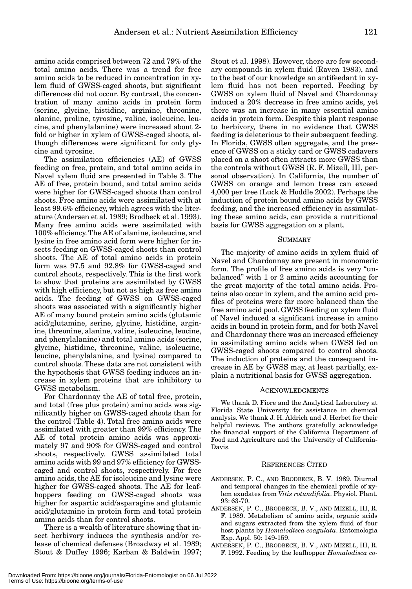amino acids comprised between 72 and 79% of the total amino acids. There was a trend for free amino acids to be reduced in concentration in xylem fluid of GWSS-caged shoots, but significant differences did not occur. By contrast, the concentration of many amino acids in protein form (serine, glycine, histidine, arginine, threonine, alanine, proline, tyrosine, valine, isoleucine, leucine, and phenylalanine) were increased about 2 fold or higher in xylem of GWSS-caged shoots, although differences were significant for only glycine and tyrosine.

The assimilation efficiencies (AE) of GWSS feeding on free, protein, and total amino acids in Navel xylem fluid are presented in Table 3. The AE of free, protein bound, and total amino acids were higher for GWSS-caged shoots than control shoots. Free amino acids were assimilated with at least 99.6% efficiency, which agrees with the literature (Andersen et al. 1989; Brodbeck et al. 1993). Many free amino acids were assimilated with 100% efficiency. The AE of alanine, isoleucine, and lysine in free amino acid form were higher for insects feeding on GWSS-caged shoots than control shoots. The AE of total amino acids in protein form was 97.5 and 92.8% for GWSS-caged and control shoots, respectively. This is the first work to show that proteins are assimilated by GWSS with high efficiency, but not as high as free amino acids. The feeding of GWSS on GWSS-caged shoots was associated with a significantly higher AE of many bound protein amino acids (glutamic acid/glutamine, serine, glycine, histidine, arginine, threonine, alanine, valine, isoleucine, leucine, and phenylalanine) and total amino acids (serine, glycine, histidine, threonine, valine, isoleucine, leucine, phenylalanine, and lysine) compared to control shoots. These data are not consistent with the hypothesis that GWSS feeding induces an increase in xylem proteins that are inhibitory to GWSS metabolism.

For Chardonnay the AE of total free, protein, and total (free plus protein) amino acids was significantly higher on GWSS-caged shoots than for the control (Table 4). Total free amino acids were assimilated with greater than 99% efficiency. The AE of total protein amino acids was approximately 97 and 90% for GWSS-caged and control shoots, respectively. GWSS assimilated total amino acids with 99 and 97% efficiency for GWSScaged and control shoots, respectively. For free amino acids, the AE for isoleucine and lysine were higher for GWSS-caged shoots. The AE for leafhoppers feeding on GWSS-caged shoots was higher for aspartic acid/asparagine and glutamic acid/glutamine in protein form and total protein amino acids than for control shoots.

There is a wealth of literature showing that insect herbivory induces the synthesis and/or release of chemical defenses (Broadway et al. 1989; Stout & Duffey 1996; Karban & Baldwin 1997; Stout et al. 1998). However, there are few secondary compounds in xylem fluid (Raven 1983), and to the best of our knowledge an antifeedant in xylem fluid has not been reported. Feeding by GWSS on xylem fluid of Navel and Chardonnay induced a 20% decrease in free amino acids, yet there was an increase in many essential amino acids in protein form. Despite this plant response to herbivory, there in no evidence that GWSS feeding is deleterious to their subsequent feeding. In Florida, GWSS often aggregate, and the presence of GWSS on a sticky card or GWSS cadavers placed on a shoot often attracts more GWSS than the controls without GWSS (R. F. Mizell, III, personal observation). In California, the number of GWSS on orange and lemon trees can exceed 4,000 per tree (Luck & Hoddle 2002). Perhaps the induction of protein bound amino acids by GWSS feeding, and the increased efficiency in assimilating these amino acids, can provide a nutritional basis for GWSS aggregation on a plant.

#### SUMMARY

The majority of amino acids in xylem fluid of Navel and Chardonnay are present in monomeric form. The profile of free amino acids is very "unbalanced" with 1 or 2 amino acids accounting for the great majority of the total amino acids. Proteins also occur in xylem, and the amino acid profiles of proteins were far more balanced than the free amino acid pool. GWSS feeding on xylem fluid of Navel induced a significant increase in amino acids in bound in protein form, and for both Navel and Chardonnay there was an increased efficiency in assimilating amino acids when GWSS fed on GWSS-caged shoots compared to control shoots. The induction of proteins and the consequent increase in AE by GWSS may, at least partially, explain a nutritional basis for GWSS aggregation.

#### ACKNOWLEDGMENTS

We thank D. Fiore and the Analytical Laboratory at Florida State University for assistance in chemical analysis. We thank J. H. Aldrich and J. Herbet for their helpful reviews. The authors gratefully acknowledge the financial support of the California Department of Food and Agriculture and the University of California-Davis.

#### REFERENCES CITED

- ANDERSEN, P. C., AND BRODBECK, B. V. 1989. Diurnal and temporal changes in the chemical profile of xylem exudates from *Vitis rotundifolia*. Physiol. Plant. 93: 63-70.
- ANDERSEN, P. C., BRODBECK, B. V., AND MIZELL, III, R. F. 1989. Metabolism of amino acids, organic acids and sugars extracted from the xylem fluid of four host plants by *Homalodisca coagulata*. Entomologia Exp. Appl. 50: 149-159.
- ANDERSEN, P. C., BRODBECK, B. V., AND MIZELL, III, R. F. 1992. Feeding by the leafhopper *Homalodisca co-*